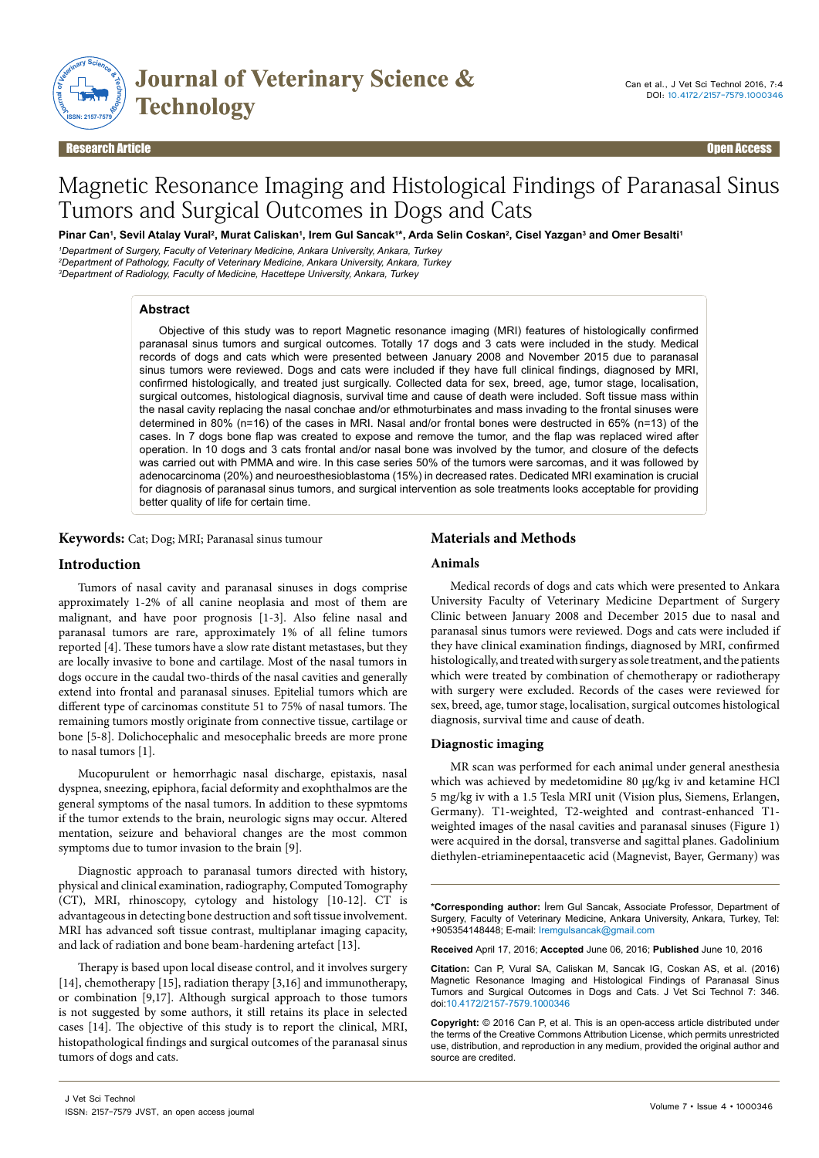

#### Research Article Open Access

# Magnetic Resonance Imaging and Histological Findings of Paranasal Sinus Tumors and Surgical Outcomes in Dogs and Cats

Pinar Can<sup>ı</sup>, Sevil Atalay Vural<sup>2</sup>, Murat Caliskan', Irem Gul Sancak'\*, Arda Selin Coskan<sup>2</sup>, Cisel Yazgan<sup>3</sup> and Omer Besalti'

*1 Department of Surgery, Faculty of Veterinary Medicine, Ankara University, Ankara, Turkey 2 Department of Pathology, Faculty of Veterinary Medicine, Ankara University, Ankara, Turkey*

*3 Department of Radiology, Faculty of Medicine, Hacettepe University, Ankara, Turkey*

## **Abstract**

Objective of this study was to report Magnetic resonance imaging (MRI) features of histologically confirmed paranasal sinus tumors and surgical outcomes. Totally 17 dogs and 3 cats were included in the study. Medical records of dogs and cats which were presented between January 2008 and November 2015 due to paranasal sinus tumors were reviewed. Dogs and cats were included if they have full clinical findings, diagnosed by MRI, confirmed histologically, and treated just surgically. Collected data for sex, breed, age, tumor stage, localisation, surgical outcomes, histological diagnosis, survival time and cause of death were included. Soft tissue mass within the nasal cavity replacing the nasal conchae and/or ethmoturbinates and mass invading to the frontal sinuses were determined in 80% (n=16) of the cases in MRI. Nasal and/or frontal bones were destructed in 65% (n=13) of the cases. In 7 dogs bone flap was created to expose and remove the tumor, and the flap was replaced wired after operation. In 10 dogs and 3 cats frontal and/or nasal bone was involved by the tumor, and closure of the defects was carried out with PMMA and wire. In this case series 50% of the tumors were sarcomas, and it was followed by adenocarcinoma (20%) and neuroesthesioblastoma (15%) in decreased rates. Dedicated MRI examination is crucial for diagnosis of paranasal sinus tumors, and surgical intervention as sole treatments looks acceptable for providing better quality of life for certain time.

**Keywords:** Cat; Dog; MRI; Paranasal sinus tumour

## **Introduction**

Tumors of nasal cavity and paranasal sinuses in dogs comprise approximately 1-2% of all canine neoplasia and most of them are malignant, and have poor prognosis [1-3]. Also feline nasal and paranasal tumors are rare, approximately 1% of all feline tumors reported [4]. These tumors have a slow rate distant metastases, but they are locally invasive to bone and cartilage. Most of the nasal tumors in dogs occure in the caudal two-thirds of the nasal cavities and generally extend into frontal and paranasal sinuses. Epitelial tumors which are different type of carcinomas constitute 51 to 75% of nasal tumors. The remaining tumors mostly originate from connective tissue, cartilage or bone [5-8]. Dolichocephalic and mesocephalic breeds are more prone to nasal tumors [1].

Mucopurulent or hemorrhagic nasal discharge, epistaxis, nasal dyspnea, sneezing, epiphora, facial deformity and exophthalmos are the general symptoms of the nasal tumors. In addition to these sypmtoms if the tumor extends to the brain, neurologic signs may occur. Altered mentation, seizure and behavioral changes are the most common symptoms due to tumor invasion to the brain [9].

Diagnostic approach to paranasal tumors directed with history, physical and clinical examination, radiography, Computed Tomography (CT), MRI, rhinoscopy, cytology and histology [10-12]. CT is advantageous in detecting bone destruction and soft tissue involvement. MRI has advanced soft tissue contrast, multiplanar imaging capacity, and lack of radiation and bone beam-hardening artefact [13].

Therapy is based upon local disease control, and it involves surgery [14], chemotherapy [15], radiation therapy [3,16] and immunotherapy, or combination [9,17]. Although surgical approach to those tumors is not suggested by some authors, it still retains its place in selected cases [14]. The objective of this study is to report the clinical, MRI, histopathological findings and surgical outcomes of the paranasal sinus tumors of dogs and cats.

## **Materials and Methods**

#### **Animals**

Medical records of dogs and cats which were presented to Ankara University Faculty of Veterinary Medicine Department of Surgery Clinic between January 2008 and December 2015 due to nasal and paranasal sinus tumors were reviewed. Dogs and cats were included if they have clinical examination findings, diagnosed by MRI, confirmed histologically, and treated with surgery as sole treatment, and the patients which were treated by combination of chemotherapy or radiotherapy with surgery were excluded. Records of the cases were reviewed for sex, breed, age, tumor stage, localisation, surgical outcomes histological diagnosis, survival time and cause of death.

## **Diagnostic imaging**

MR scan was performed for each animal under general anesthesia which was achieved by medetomidine 80 µg/kg iv and ketamine HCl 5 mg/kg iv with a 1.5 Tesla MRI unit (Vision plus, Siemens, Erlangen, Germany). T1-weighted, T2-weighted and contrast-enhanced T1 weighted images of the nasal cavities and paranasal sinuses (Figure 1) were acquired in the dorsal, transverse and sagittal planes. Gadolinium diethylen-etriaminepentaacetic acid (Magnevist, Bayer, Germany) was

**\*Corresponding author:** İrem Gul Sancak, Associate Professor, Department of Surgery, Faculty of Veterinary Medicine, Ankara University, Ankara, Turkey, Tel: +905354148448; E-mail: Iremgulsancak@gmail.com

**Received** April 17, 2016; **Accepted** June 06, 2016; **Published** June 10, 2016

**Citation:** Can P, Vural SA, Caliskan M, Sancak IG, Coskan AS, et al. (2016) Magnetic Resonance Imaging and Histological Findings of Paranasal Sinus Tumors and Surgical Outcomes in Dogs and Cats. J Vet Sci Technol 7: 346. doi:10.4172/2157-7579.1000346

**Copyright:** © 2016 Can P, et al. This is an open-access article distributed under the terms of the Creative Commons Attribution License, which permits unrestricted use, distribution, and reproduction in any medium, provided the original author and source are credited.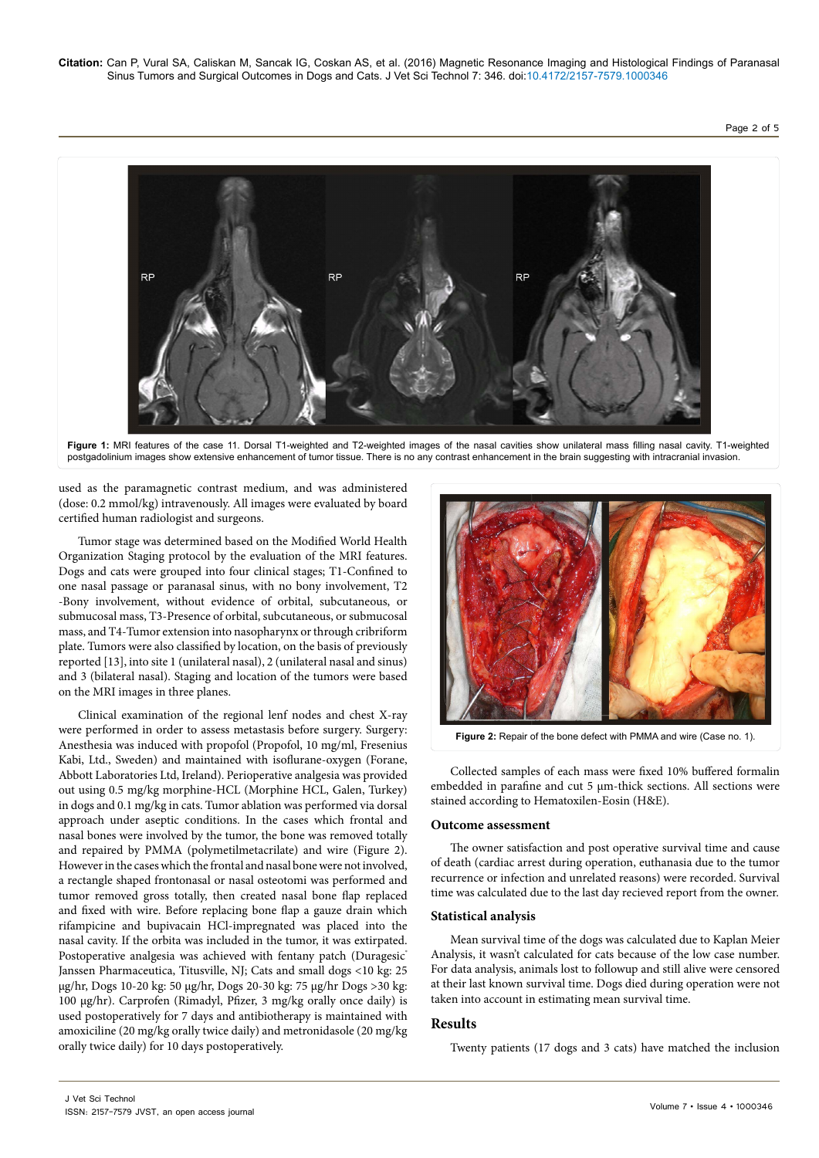**Citation:** Can P, Vural SA, Caliskan M, Sancak IG, Coskan AS, et al. (2016) Magnetic Resonance Imaging and Histological Findings of Paranasal Sinus Tumors and Surgical Outcomes in Dogs and Cats. J Vet Sci Technol 7: 346. doi:10.4172/2157-7579.1000346

## Page 2 of 5



Figure 1: MRI features of the case 11. Dorsal T1-weighted and T2-weighted images of the nasal cavities show unilateral mass filling nasal cavity. T1-weighted postgadolinium images show extensive enhancement of tumor tissue. There is no any contrast enhancement in the brain suggesting with intracranial invasion.

used as the paramagnetic contrast medium, and was administered (dose: 0.2 mmol/kg) intravenously. All images were evaluated by board certified human radiologist and surgeons.

Tumor stage was determined based on the Modified World Health Organization Staging protocol by the evaluation of the MRI features. Dogs and cats were grouped into four clinical stages; T1-Confined to one nasal passage or paranasal sinus, with no bony involvement, T2 -Bony involvement, without evidence of orbital, subcutaneous, or submucosal mass, T3-Presence of orbital, subcutaneous, or submucosal mass, and T4-Tumor extension into nasopharynx or through cribriform plate. Tumors were also classified by location, on the basis of previously reported [13], into site 1 (unilateral nasal), 2 (unilateral nasal and sinus) and 3 (bilateral nasal). Staging and location of the tumors were based on the MRI images in three planes.

Clinical examination of the regional lenf nodes and chest X-ray were performed in order to assess metastasis before surgery. Surgery: Anesthesia was induced with propofol (Propofol, 10 mg/ml, Fresenius Kabi, Ltd., Sweden) and maintained with isoflurane-oxygen (Forane, Abbott Laboratories Ltd, Ireland). Perioperative analgesia was provided out using 0.5 mg/kg morphine-HCL (Morphine HCL, Galen, Turkey) in dogs and 0.1 mg/kg in cats. Tumor ablation was performed via dorsal approach under aseptic conditions. In the cases which frontal and nasal bones were involved by the tumor, the bone was removed totally and repaired by PMMA (polymetilmetacrilate) and wire (Figure 2). However in the cases which the frontal and nasal bone were not involved, a rectangle shaped frontonasal or nasal osteotomi was performed and tumor removed gross totally, then created nasal bone flap replaced and fixed with wire. Before replacing bone flap a gauze drain which rifampicine and bupivacain HCl-impregnated was placed into the nasal cavity. If the orbita was included in the tumor, it was extirpated. Postoperative analgesia was achieved with fentany patch (Duragesic<sup>®</sup> Janssen Pharmaceutica, Titusville, NJ; Cats and small dogs <10 kg: 25 μg/hr, Dogs 10-20 kg: 50 μg/hr, Dogs 20-30 kg: 75 μg/hr Dogs >30 kg: 100 μg/hr). Carprofen (Rimadyl, Pfizer, 3 mg/kg orally once daily) is used postoperatively for 7 days and antibiotherapy is maintained with amoxiciline (20 mg/kg orally twice daily) and metronidasole (20 mg/kg orally twice daily) for 10 days postoperatively.



**Figure 2:** Repair of the bone defect with PMMA and wire (Case no. 1).

Collected samples of each mass were fixed 10% buffered formalin embedded in parafine and cut 5  $\mu$ m-thick sections. All sections were stained according to Hematoxilen-Eosin (H&E).

#### **Outcome assessment**

The owner satisfaction and post operative survival time and cause of death (cardiac arrest during operation, euthanasia due to the tumor recurrence or infection and unrelated reasons) were recorded. Survival time was calculated due to the last day recieved report from the owner.

#### **Statistical analysis**

Mean survival time of the dogs was calculated due to Kaplan Meier Analysis, it wasn't calculated for cats because of the low case number. For data analysis, animals lost to followup and still alive were censored at their last known survival time. Dogs died during operation were not taken into account in estimating mean survival time.

#### **Results**

Twenty patients (17 dogs and 3 cats) have matched the inclusion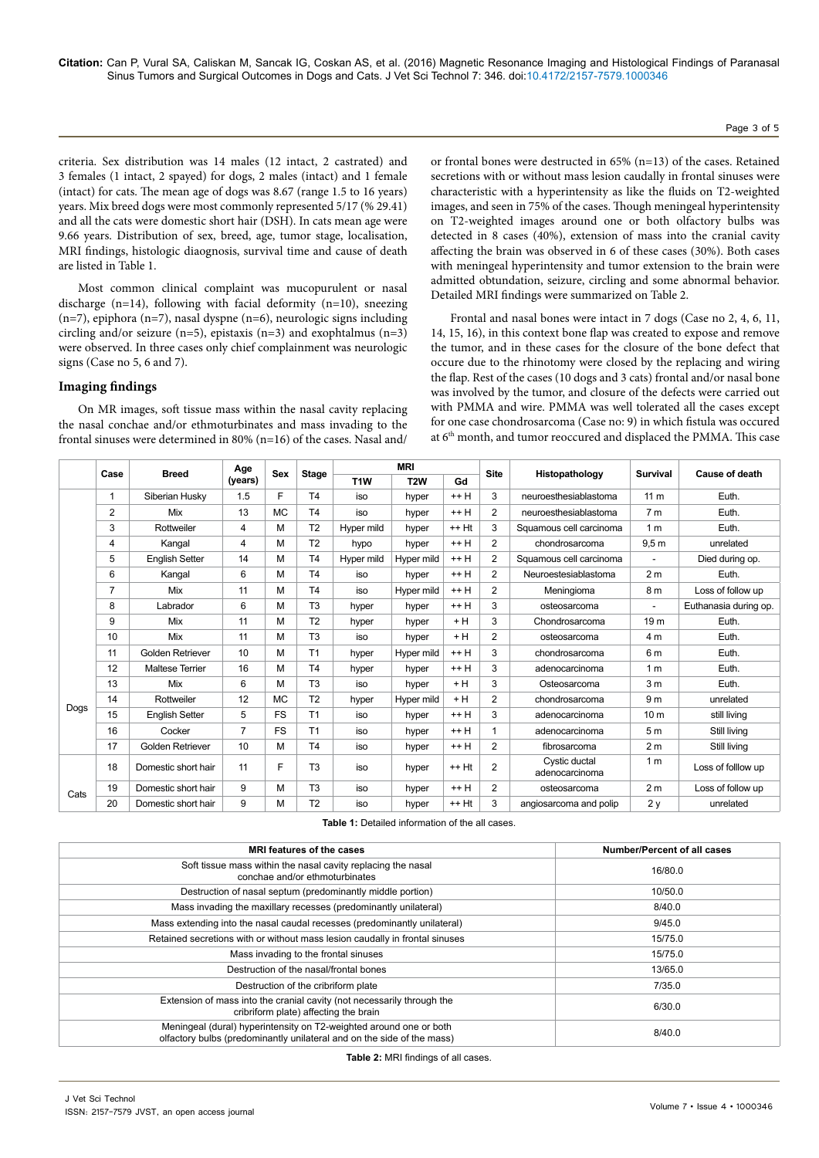criteria. Sex distribution was 14 males (12 intact, 2 castrated) and 3 females (1 intact, 2 spayed) for dogs, 2 males (intact) and 1 female (intact) for cats. The mean age of dogs was 8.67 (range 1.5 to 16 years) years. Mix breed dogs were most commonly represented 5/17 (% 29.41) and all the cats were domestic short hair (DSH). In cats mean age were 9.66 years. Distribution of sex, breed, age, tumor stage, localisation, MRI findings, histologic diaognosis, survival time and cause of death are listed in Table 1.

Most common clinical complaint was mucopurulent or nasal discharge (n=14), following with facial deformity (n=10), sneezing (n=7), epiphora (n=7), nasal dyspne (n=6), neurologic signs including circling and/or seizure (n=5), epistaxis (n=3) and exophtalmus (n=3) were observed. In three cases only chief complainment was neurologic signs (Case no 5, 6 and 7).

## **Imaging findings**

On MR images, soft tissue mass within the nasal cavity replacing the nasal conchae and/or ethmoturbinates and mass invading to the frontal sinuses were determined in 80% (n=16) of the cases. Nasal and/

or frontal bones were destructed in 65% (n=13) of the cases. Retained secretions with or without mass lesion caudally in frontal sinuses were characteristic with a hyperintensity as like the fluids on T2-weighted images, and seen in 75% of the cases. Though meningeal hyperintensity on T2-weighted images around one or both olfactory bulbs was detected in 8 cases (40%), extension of mass into the cranial cavity affecting the brain was observed in 6 of these cases (30%). Both cases with meningeal hyperintensity and tumor extension to the brain were admitted obtundation, seizure, circling and some abnormal behavior. Detailed MRI findings were summarized on Table 2.

Frontal and nasal bones were intact in 7 dogs (Case no 2, 4, 6, 11, 14, 15, 16), in this context bone flap was created to expose and remove the tumor, and in these cases for the closure of the bone defect that occure due to the rhinotomy were closed by the replacing and wiring the flap. Rest of the cases (10 dogs and 3 cats) frontal and/or nasal bone was involved by the tumor, and closure of the defects were carried out with PMMA and wire. PMMA was well tolerated all the cases except for one case chondrosarcoma (Case no: 9) in which fistula was occured at 6<sup>th</sup> month, and tumor reoccured and displaced the PMMA. This case

|      | Case | <b>Breed</b>           | Age<br>(years) | <b>Sex</b> | <b>Stage</b>   | <b>MRI</b>       |                  |         | <b>Site</b>    | Histopathology                  | Survival         | <b>Cause of death</b> |
|------|------|------------------------|----------------|------------|----------------|------------------|------------------|---------|----------------|---------------------------------|------------------|-----------------------|
|      |      |                        |                |            |                | T <sub>1</sub> W | T <sub>2</sub> W | Gd      |                |                                 |                  |                       |
|      | 1    | Siberian Husky         | 1.5            | F          | T <sub>4</sub> | iso              | hyper            | $++H$   | 3              | neuroesthesiablastoma           | 11 <sub>m</sub>  | Euth.                 |
|      | 2    | Mix                    | 13             | <b>MC</b>  | T <sub>4</sub> | iso              | hyper            | $++H$   | 2              | neuroesthesiablastoma           | 7 <sub>m</sub>   | Euth.                 |
|      | 3    | Rottweiler             | $\overline{4}$ | M          | T <sub>2</sub> | Hyper mild       | hyper            | $++$ Ht | 3              | Squamous cell carcinoma         | 1 <sub>m</sub>   | Euth.                 |
|      | 4    | Kangal                 | 4              | М          | T <sub>2</sub> | hypo             | hyper            | $++H$   | 2              | chondrosarcoma                  | 9,5 <sub>m</sub> | unrelated             |
|      | 5    | <b>English Setter</b>  | 14             | M          | T <sub>4</sub> | Hyper mild       | Hyper mild       | $++H$   | 2              | Squamous cell carcinoma         |                  | Died during op.       |
|      | 6    | Kangal                 | 6              | M          | T <sub>4</sub> | iso              | hyper            | $++H$   | $\overline{2}$ | Neuroestesiablastoma            | 2 <sub>m</sub>   | Euth.                 |
|      | 7    | Mix                    | 11             | M          | <b>T4</b>      | iso              | Hyper mild       | $++H$   | 2              | Meningioma                      | 8 m              | Loss of follow up     |
|      | 8    | Labrador               | 6              | М          | T <sub>3</sub> | hyper            | hyper            | $++H$   | 3              | osteosarcoma                    |                  | Euthanasia during op. |
|      | 9    | Mix                    | 11             | M          | T <sub>2</sub> | hyper            | hyper            | $+H$    | 3              | Chondrosarcoma                  | 19 <sub>m</sub>  | Euth.                 |
|      | 10   | Mix                    | 11             | M          | T <sub>3</sub> | iso              | hyper            | + H     | 2              | osteosarcoma                    | 4 m              | Euth.                 |
|      | 11   | Golden Retriever       | 10             | M          | T1             | hyper            | Hyper mild       | $++H$   | 3              | chondrosarcoma                  | 6 <sub>m</sub>   | Euth.                 |
|      | 12   | <b>Maltese Terrier</b> | 16             | M          | T <sub>4</sub> | hyper            | hyper            | $++H$   | 3              | adenocarcinoma                  | 1 <sub>m</sub>   | Euth.                 |
|      | 13   | Mix                    | 6              | М          | T <sub>3</sub> | iso              | hyper            | + H     | 3              | Osteosarcoma                    | 3 <sub>m</sub>   | Euth.                 |
|      | 14   | Rottweiler             | 12             | <b>MC</b>  | T <sub>2</sub> | hyper            | Hyper mild       | $+H$    | $\overline{2}$ | chondrosarcoma                  | 9 <sub>m</sub>   | unrelated             |
| Dogs | 15   | <b>English Setter</b>  | 5              | FS.        | T1             | iso              | hyper            | $++H$   | 3              | adenocarcinoma                  | 10 <sub>m</sub>  | still living          |
|      | 16   | Cocker                 | $\overline{7}$ | <b>FS</b>  | T1             | iso              | hyper            | $++H$   | 1              | adenocarcinoma                  | 5 <sub>m</sub>   | Still living          |
|      | 17   | Golden Retriever       | 10             | M          | T <sub>4</sub> | iso              | hyper            | $++H$   | 2              | fibrosarcoma                    | 2 <sub>m</sub>   | Still living          |
| Cats | 18   | Domestic short hair    | 11             | F          | T <sub>3</sub> | iso              | hyper            | $++$ Ht | $\overline{2}$ | Cystic ductal<br>adenocarcinoma | 1 <sub>m</sub>   | Loss of folllow up    |
|      | 19   | Domestic short hair    | 9              | M          | T <sub>3</sub> | iso              | hyper            | $++H$   | 2              | osteosarcoma                    | 2 <sub>m</sub>   | Loss of follow up     |
|      | 20   | Domestic short hair    | 9              | M          | T <sub>2</sub> | iso              | hyper            | ++ Ht   | 3              | angiosarcoma and polip          | 2y               | unrelated             |

**Table 1:** Detailed information of the all cases.

| MRI features of the cases                                                                                                                    | <b>Number/Percent of all cases</b> |
|----------------------------------------------------------------------------------------------------------------------------------------------|------------------------------------|
| Soft tissue mass within the nasal cavity replacing the nasal<br>conchae and/or ethmoturbinates                                               | 16/80.0                            |
| Destruction of nasal septum (predominantly middle portion)                                                                                   | 10/50.0                            |
| Mass invading the maxillary recesses (predominantly unilateral)                                                                              | 8/40.0                             |
| Mass extending into the nasal caudal recesses (predominantly unilateral)                                                                     | 9/45.0                             |
| Retained secretions with or without mass lesion caudally in frontal sinuses                                                                  | 15/75.0                            |
| Mass invading to the frontal sinuses                                                                                                         | 15/75.0                            |
| Destruction of the nasal/frontal bones                                                                                                       | 13/65.0                            |
| Destruction of the cribriform plate                                                                                                          | 7/35.0                             |
| Extension of mass into the cranial cavity (not necessarily through the<br>cribriform plate) affecting the brain                              | 6/30.0                             |
| Meningeal (dural) hyperintensity on T2-weighted around one or both<br>olfactory bulbs (predominantly unilateral and on the side of the mass) | 8/40.0                             |

**Table 2:** MRI findings of all cases.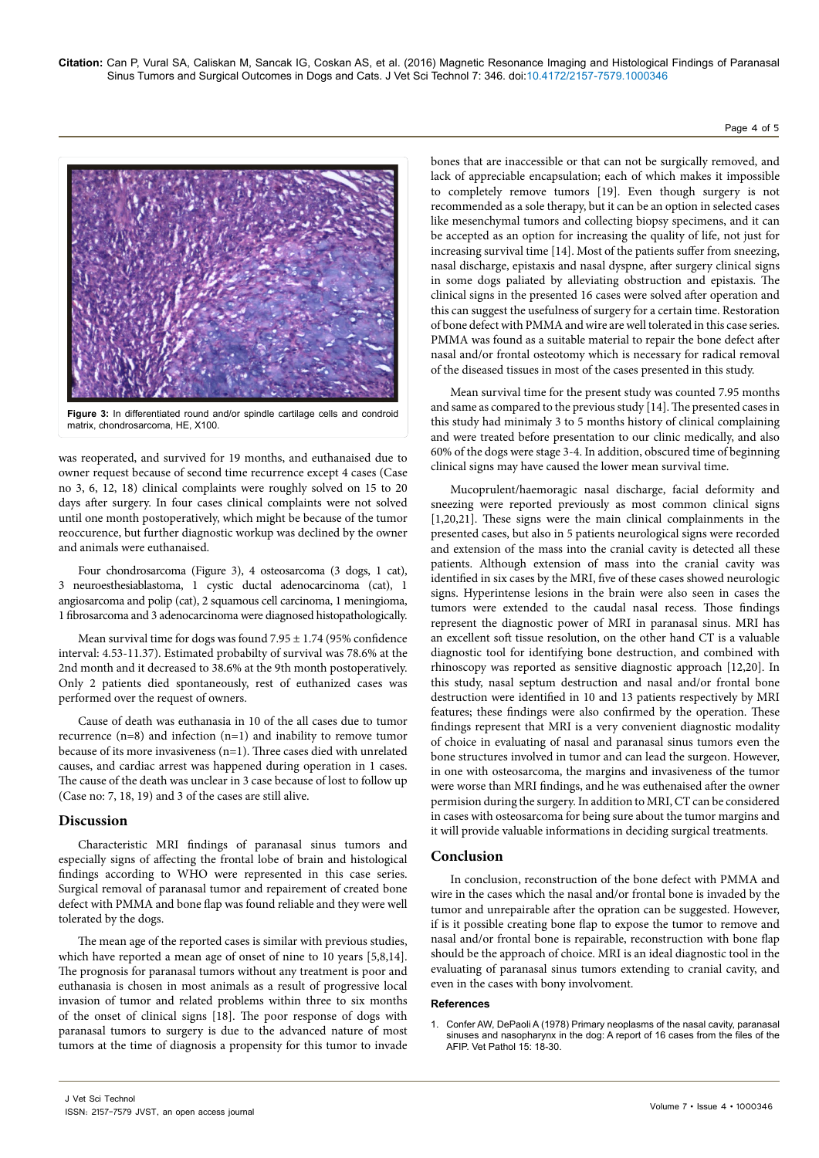

**Figure 3:** In differentiated round and/or spindle cartilage cells and condroid matrix, chondrosarcoma, HE, X100.

was reoperated, and survived for 19 months, and euthanaised due to owner request because of second time recurrence except 4 cases (Case no 3, 6, 12, 18) clinical complaints were roughly solved on 15 to 20 days after surgery. In four cases clinical complaints were not solved until one month postoperatively, which might be because of the tumor reoccurence, but further diagnostic workup was declined by the owner and animals were euthanaised.

Four chondrosarcoma (Figure 3), 4 osteosarcoma (3 dogs, 1 cat), 3 neuroesthesiablastoma, 1 cystic ductal adenocarcinoma (cat), 1 angiosarcoma and polip (cat), 2 squamous cell carcinoma, 1 meningioma, 1 fibrosarcoma and 3 adenocarcinoma were diagnosed histopathologically.

Mean survival time for dogs was found  $7.95 \pm 1.74$  (95% confidence interval: 4.53-11.37). Estimated probabilty of survival was 78.6% at the 2nd month and it decreased to 38.6% at the 9th month postoperatively. Only 2 patients died spontaneously, rest of euthanized cases was performed over the request of owners.

Cause of death was euthanasia in 10 of the all cases due to tumor recurrence (n=8) and infection (n=1) and inability to remove tumor because of its more invasiveness (n=1). Three cases died with unrelated causes, and cardiac arrest was happened during operation in 1 cases. The cause of the death was unclear in 3 case because of lost to follow up (Case no: 7, 18, 19) and 3 of the cases are still alive.

## **Discussion**

Characteristic MRI findings of paranasal sinus tumors and especially signs of affecting the frontal lobe of brain and histological findings according to WHO were represented in this case series. Surgical removal of paranasal tumor and repairement of created bone defect with PMMA and bone flap was found reliable and they were well tolerated by the dogs.

The mean age of the reported cases is similar with previous studies, which have reported a mean age of onset of nine to 10 years [5,8,14]. The prognosis for paranasal tumors without any treatment is poor and euthanasia is chosen in most animals as a result of progressive local invasion of tumor and related problems within three to six months of the onset of clinical signs [18]. The poor response of dogs with paranasal tumors to surgery is due to the advanced nature of most tumors at the time of diagnosis a propensity for this tumor to invade bones that are inaccessible or that can not be surgically removed, and lack of appreciable encapsulation; each of which makes it impossible to completely remove tumors [19]. Even though surgery is not recommended as a sole therapy, but it can be an option in selected cases like mesenchymal tumors and collecting biopsy specimens, and it can be accepted as an option for increasing the quality of life, not just for increasing survival time [14]. Most of the patients suffer from sneezing, nasal discharge, epistaxis and nasal dyspne, after surgery clinical signs in some dogs paliated by alleviating obstruction and epistaxis. The clinical signs in the presented 16 cases were solved after operation and this can suggest the usefulness of surgery for a certain time. Restoration of bone defect with PMMA and wire are well tolerated in this case series. PMMA was found as a suitable material to repair the bone defect after nasal and/or frontal osteotomy which is necessary for radical removal of the diseased tissues in most of the cases presented in this study.

Page 4 of 5

Mean survival time for the present study was counted 7.95 months and same as compared to the previous study [14]. The presented cases in this study had minimaly 3 to 5 months history of clinical complaining and were treated before presentation to our clinic medically, and also 60% of the dogs were stage 3-4. In addition, obscured time of beginning clinical signs may have caused the lower mean survival time.

Mucoprulent/haemoragic nasal discharge, facial deformity and sneezing were reported previously as most common clinical signs [1,20,21]. These signs were the main clinical complainments in the presented cases, but also in 5 patients neurological signs were recorded and extension of the mass into the cranial cavity is detected all these patients. Although extension of mass into the cranial cavity was identified in six cases by the MRI, five of these cases showed neurologic signs. Hyperintense lesions in the brain were also seen in cases the tumors were extended to the caudal nasal recess. Those findings represent the diagnostic power of MRI in paranasal sinus. MRI has an excellent soft tissue resolution, on the other hand CT is a valuable diagnostic tool for identifying bone destruction, and combined with rhinoscopy was reported as sensitive diagnostic approach [12,20]. In this study, nasal septum destruction and nasal and/or frontal bone destruction were identified in 10 and 13 patients respectively by MRI features; these findings were also confirmed by the operation. These findings represent that MRI is a very convenient diagnostic modality of choice in evaluating of nasal and paranasal sinus tumors even the bone structures involved in tumor and can lead the surgeon. However, in one with osteosarcoma, the margins and invasiveness of the tumor were worse than MRI findings, and he was euthenaised after the owner permision during the surgery. In addition to MRI, CT can be considered in cases with osteosarcoma for being sure about the tumor margins and it will provide valuable informations in deciding surgical treatments.

## **Conclusion**

In conclusion, reconstruction of the bone defect with PMMA and wire in the cases which the nasal and/or frontal bone is invaded by the tumor and unrepairable after the opration can be suggested. However, if is it possible creating bone flap to expose the tumor to remove and nasal and/or frontal bone is repairable, reconstruction with bone flap should be the approach of choice. MRI is an ideal diagnostic tool in the evaluating of paranasal sinus tumors extending to cranial cavity, and even in the cases with bony involvoment.

#### **References**

1. [Confer AW, DePaoli A \(1978\) Primary neoplasms of the nasal cavity, paranasal](http://www.ncbi.nlm.nih.gov/pubmed/625866)  [sinuses and nasopharynx in the dog: A report of 16 cases from the files of the](http://www.ncbi.nlm.nih.gov/pubmed/625866)  [AFIP. Vet Pathol 15: 18-30.](http://www.ncbi.nlm.nih.gov/pubmed/625866)